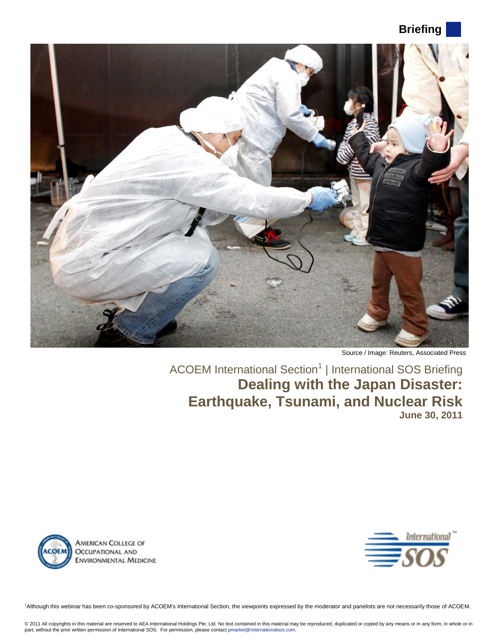# **Briefing**



Source / Image: Reuters, Associated Press

ACOEM International Section<sup>1</sup> | International SOS Briefing **Dealing with the Japan Disaster: Earthquake, Tsunami, and Nuclear Risk June 30, 2011**





1Although this webinar has been co-sponsored by ACOEM's International Section, the viewpoints expressed by the moderator and panelists are not necessarily those of ACOEM.

© 2011 All copyrights in this material are reserved to AEA International Holdings Pte. Ltd. No text contained in this material may be reproduced, duplicated or copied by any means or in any form, in whole or in<br>part, witho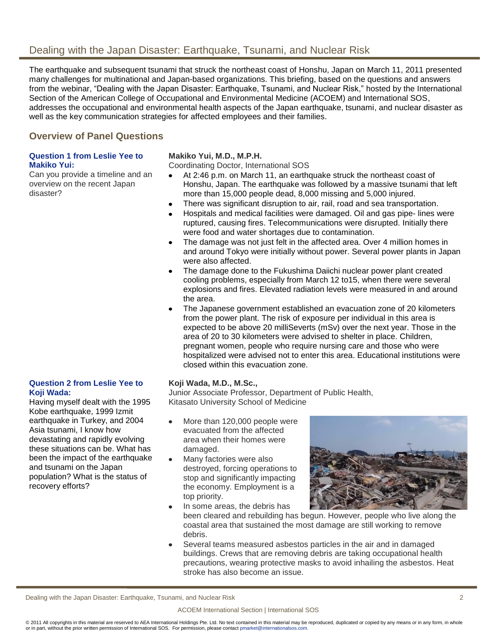## Dealing with the Japan Disaster: Earthquake, Tsunami, and Nuclear Risk

The earthquake and subsequent tsunami that struck the northeast coast of Honshu, Japan on March 11, 2011 presented many challenges for multinational and Japan-based organizations. This briefing, based on the questions and answers from the webinar, "Dealing with the Japan Disaster: Earthquake, Tsunami, and Nuclear Risk," hosted by the International Section of the American College of Occupational and Environmental Medicine (ACOEM) and International SOS, addresses the occupational and environmental health aspects of the Japan earthquake, tsunami, and nuclear disaster as well as the key communication strategies for affected employees and their families.

## **Overview of Panel Questions**

## **Question 1 from Leslie Yee to Makiko Yui:**

Can you provide a timeline and an overview on the recent Japan disaster?

**Question 2 from Leslie Yee to** 

Having myself dealt with the 1995 Kobe earthquake, 1999 Izmit earthquake in Turkey, and 2004 Asia tsunami, I know how devastating and rapidly evolving these situations can be. What has been the impact of the earthquake

and tsunami on the Japan population? What is the status of

recovery efforts?

**Koji Wada:**

## **Makiko Yui, M.D., M.P.H.**

Coordinating Doctor, International SOS

- At 2:46 p.m. on March 11, an earthquake struck the northeast coast of  $\bullet$ Honshu, Japan. The earthquake was followed by a massive tsunami that left more than 15,000 people dead, 8,000 missing and 5,000 injured.
- There was significant disruption to air, rail, road and sea transportation.  $\bullet$
- Hospitals and medical facilities were damaged. Oil and gas pipe- lines were ruptured, causing fires. Telecommunications were disrupted. Initially there were food and water shortages due to contamination.
- The damage was not just felt in the affected area. Over 4 million homes in  $\bullet$ and around Tokyo were initially without power. Several power plants in Japan were also affected.
- The damage done to the Fukushima Daiichi nuclear power plant created  $\bullet$ cooling problems, especially from March 12 to15, when there were several explosions and fires. Elevated radiation levels were measured in and around the area.
- The Japanese government established an evacuation zone of 20 kilometers from the power plant. The risk of exposure per individual in this area is expected to be above 20 milliSeverts (mSv) over the next year. Those in the area of 20 to 30 kilometers were advised to shelter in place. Children, pregnant women, people who require nursing care and those who were hospitalized were advised not to enter this area. Educational institutions were closed within this evacuation zone.

#### **Koji Wada, M.D., M.Sc.,**

Junior Associate Professor, Department of Public Health, Kitasato University School of Medicine

- More than 120,000 people were  $\bullet$ evacuated from the affected area when their homes were damaged.
- Many factories were also  $\bullet$ destroyed, forcing operations to stop and significantly impacting the economy. Employment is a top priority.
	- In some areas, the debris has



- been cleared and rebuilding has begun. However, people who live along the coastal area that sustained the most damage are still working to remove debris.
- Several teams measured asbestos particles in the air and in damaged  $\bullet$ buildings. Crews that are removing debris are taking occupational health precautions, wearing protective masks to avoid inhailing the asbestos. Heat stroke has also become an issue.

Dealing with the Japan Disaster: Earthquake, Tsunami, and Nuclear Risk 2

 $\bullet$ 

#### ACOEM International Section | International SOS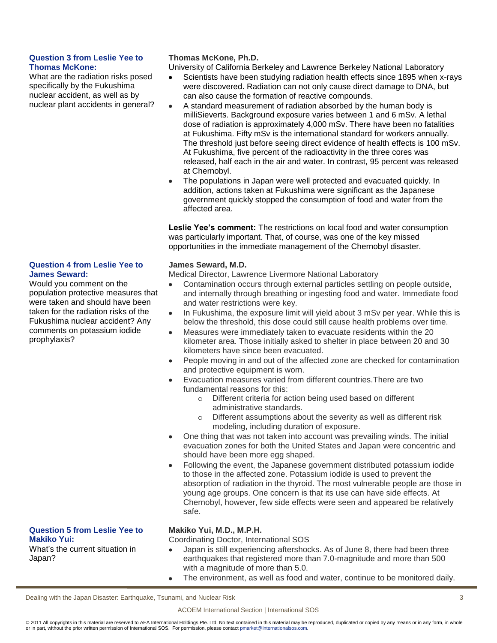### **Question 3 from Leslie Yee to Thomas McKone:**

What are the radiation risks posed specifically by the Fukushima nuclear accident, as well as by nuclear plant accidents in general?

#### **Question 4 from Leslie Yee to James Seward:**

Would you comment on the population protective measures that were taken and should have been taken for the radiation risks of the Fukushima nuclear accident? Any comments on potassium iodide prophylaxis?

## **Thomas McKone, Ph.D.**

University of California Berkeley and Lawrence Berkeley National Laboratory

- Scientists have been studying radiation health effects since 1895 when x-rays were discovered. Radiation can not only cause direct damage to DNA, but can also cause the formation of reactive compounds.
- $\bullet$ A standard measurement of radiation absorbed by the human body is milliSieverts. Background exposure varies between 1 and 6 mSv. A lethal dose of radiation is approximately 4,000 mSv. There have been no fatalities at Fukushima. Fifty mSv is the international standard for workers annually. The threshold just before seeing direct evidence of health effects is 100 mSv. At Fukushima, five percent of the radioactivity in the three cores was released, half each in the air and water. In contrast, 95 percent was released at Chernobyl.
- The populations in Japan were well protected and evacuated quickly. In  $\bullet$ addition, actions taken at Fukushima were significant as the Japanese government quickly stopped the consumption of food and water from the affected area.

**Leslie Yee's comment:** The restrictions on local food and water consumption was particularly important. That, of course, was one of the key missed opportunities in the immediate management of the Chernobyl disaster.

## **James Seward, M.D.**

Medical Director, Lawrence Livermore National Laboratory

- Contamination occurs through external particles settling on people outside,  $\bullet$ and internally through breathing or ingesting food and water. Immediate food and water restrictions were key.
- In Fukushima, the exposure limit will yield about 3 mSv per year. While this is below the threshold, this dose could still cause health problems over time.
- Measures were immediately taken to evacuate residents within the 20 kilometer area. Those initially asked to shelter in place between 20 and 30 kilometers have since been evacuated.
- $\bullet$ People moving in and out of the affected zone are checked for contamination and protective equipment is worn.
- Evacuation measures varied from different countries.There are two  $\bullet$ fundamental reasons for this:
	- o Different criteria for action being used based on different administrative standards.
	- o Different assumptions about the severity as well as different risk modeling, including duration of exposure.
- One thing that was not taken into account was prevailing winds. The initial  $\bullet$ evacuation zones for both the United States and Japan were concentric and should have been more egg shaped.
- Following the event, the Japanese government distributed potassium iodide  $\bullet$ to those in the affected zone. Potassium iodide is used to prevent the absorption of radiation in the thyroid. The most vulnerable people are those in young age groups. One concern is that its use can have side effects. At Chernobyl, however, few side effects were seen and appeared be relatively safe.

## **Question 5 from Leslie Yee to Makiko Yui:**

What's the current situation in Japan?

## **Makiko Yui, M.D., M.P.H.**

Coordinating Doctor, International SOS

- Japan is still experiencing aftershocks. As of June 8, there had been three  $\bullet$ earthquakes that registered more than 7.0-magnitude and more than 500 with a magnitude of more than 5.0.
- The environment, as well as food and water, continue to be monitored daily. $\bullet$

Dealing with the Japan Disaster: Earthquake, Tsunami, and Nuclear Risk 3

#### ACOEM International Section | International SOS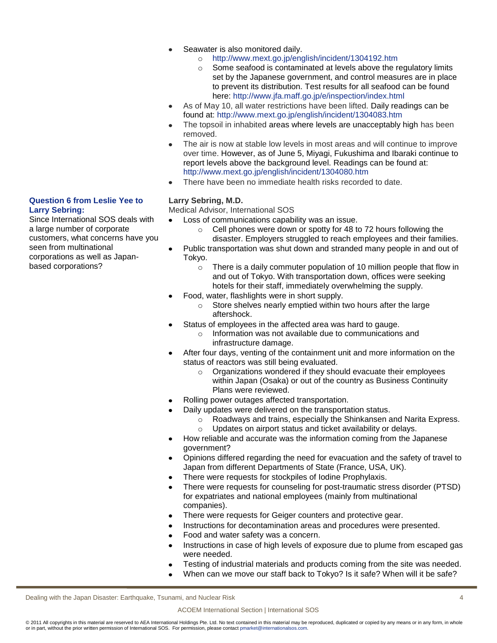- Seawater is also monitored daily.
	- o <http://www.mext.go.jp/english/incident/1304192.htm>
	- o Some seafood is contaminated at levels above the regulatory limits set by the Japanese government, and control measures are in place to prevent its distribution. Test results for all seafood can be found here:<http://www.jfa.maff.go.jp/e/inspection/index.html>
- $\bullet$ As of May 10, all water restrictions have been lifted. Daily readings can be found at:<http://www.mext.go.jp/english/incident/1304083.htm>
- The topsoil in inhabited areas where levels are unacceptably high has been  $\bullet$ removed.
- The air is now at stable low levels in most areas and will continue to improve over time. However, as of June 5, Miyagi, Fukushima and Ibaraki continue to report levels above the background level. Readings can be found at: <http://www.mext.go.jp/english/incident/1304080.htm>
- There have been no immediate health risks recorded to date.

## **Larry Sebring, M.D.**

Medical Advisor, International SOS

- Loss of communications capability was an issue.  $\bullet$ 
	- o Cell phones were down or spotty for 48 to 72 hours following the disaster. Employers struggled to reach employees and their families.
- $\bullet$ Public transportation was shut down and stranded many people in and out of Tokyo.
	- o There is a daily commuter population of 10 million people that flow in and out of Tokyo. With transportation down, offices were seeking hotels for their staff, immediately overwhelming the supply.
- Food, water, flashlights were in short supply.  $\bullet$ 
	- o Store shelves nearly emptied within two hours after the large aftershock.
- Status of employees in the affected area was hard to gauge.
	- Information was not available due to communications and infrastructure damage.
- After four days, venting of the containment unit and more information on the status of reactors was still being evaluated.
	- o Organizations wondered if they should evacuate their employees within Japan (Osaka) or out of the country as Business Continuity Plans were reviewed.
- Rolling power outages affected transportation.
	- Daily updates were delivered on the transportation status.
		- o Roadways and trains, especially the Shinkansen and Narita Express. o Updates on airport status and ticket availability or delays.
- How reliable and accurate was the information coming from the Japanese  $\bullet$ government?
- Opinions differed regarding the need for evacuation and the safety of travel to  $\bullet$ Japan from different Departments of State (France, USA, UK).
- There were requests for stockpiles of Iodine Prophylaxis.  $\bullet$
- There were requests for counseling for post-traumatic stress disorder (PTSD) for expatriates and national employees (mainly from multinational companies).
- There were requests for Geiger counters and protective gear.  $\bullet$
- Instructions for decontamination areas and procedures were presented.
- Food and water safety was a concern.  $\bullet$
- Instructions in case of high levels of exposure due to plume from escaped gas  $\bullet$ were needed.
- Testing of industrial materials and products coming from the site was needed.
- When can we move our staff back to Tokyo? Is it safe? When will it be safe?

Dealing with the Japan Disaster: Earthquake, Tsunami, and Nuclear Risk 4

#### ACOEM International Section | International SOS

© 2011 All copyrights in this material are reserved to AEA International Holdings Pte. Ltd. No text contained in this material may be reproduced, duplicated or copied by any means or in any form, in whole or in part, without the prior written permission of International SOS. For permission, please contact pmarket@internationalsos.com.

#### **Question 6 from Leslie Yee to Larry Sebring:**

Since International SOS deals with a large number of corporate customers, what concerns have you seen from multinational corporations as well as Japanbased corporations?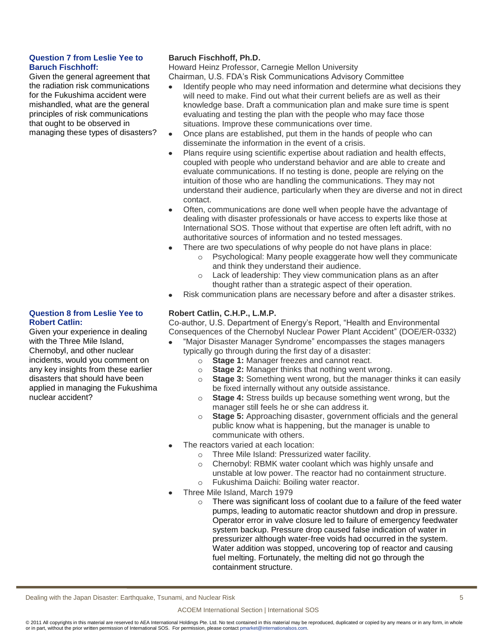### **Question 7 from Leslie Yee to Baruch Fischhoff:**

Given the general agreement that the radiation risk communications for the Fukushima accident were mishandled, what are the general principles of risk communications that ought to be observed in managing these types of disasters?

## **Baruch Fischhoff, Ph.D.**

Howard Heinz Professor, Carnegie Mellon University Chairman, U.S. FDA's Risk Communications Advisory Committee

- Identify people who may need information and determine what decisions they will need to make. Find out what their current beliefs are as well as their knowledge base. Draft a communication plan and make sure time is spent evaluating and testing the plan with the people who may face those situations. Improve these communications over time.
- Once plans are established, put them in the hands of people who can  $\bullet$ disseminate the information in the event of a crisis.
- Plans require using scientific expertise about radiation and health effects,  $\bullet$ coupled with people who understand behavior and are able to create and evaluate communications. If no testing is done, people are relying on the intuition of those who are handling the communications. They may not understand their audience, particularly when they are diverse and not in direct contact.
- Often, communications are done well when people have the advantage of  $\bullet$ dealing with disaster professionals or have access to experts like those at International SOS. Those without that expertise are often left adrift, with no authoritative sources of information and no tested messages.
- There are two speculations of why people do not have plans in place:
	- o Psychological: Many people exaggerate how well they communicate and think they understand their audience.
	- o Lack of leadership: They view communication plans as an after thought rather than a strategic aspect of their operation.
- Risk communication plans are necessary before and after a disaster strikes.  $\bullet$

## **Robert Catlin, C.H.P., L.M.P.**

Co-author, U.S. Department of Energy's Report, "Health and Environmental Consequences of the Chernobyl Nuclear Power Plant Accident" (DOE/ER-0332)

- "Major Disaster Manager Syndrome" encompasses the stages managers typically go through during the first day of a disaster:
	- o **Stage 1:** Manager freezes and cannot react.
	- o **Stage 2:** Manager thinks that nothing went wrong.
	- o **Stage 3:** Something went wrong, but the manager thinks it can easily be fixed internally without any outside assistance.
	- o **Stage 4:** Stress builds up because something went wrong, but the manager still feels he or she can address it.
	- o **Stage 5:** Approaching disaster, government officials and the general public know what is happening, but the manager is unable to communicate with others.
- The reactors varied at each location:
	- o Three Mile Island: Pressurized water facility.
	- o Chernobyl: RBMK water coolant which was highly unsafe and unstable at low power. The reactor had no containment structure. o Fukushima Daiichi: Boiling water reactor.
	- Three Mile Island, March 1979
		- $\circ$  There was significant loss of coolant due to a failure of the feed water pumps, leading to automatic reactor shutdown and drop in pressure. Operator error in valve closure led to failure of emergency feedwater system backup. Pressure drop caused false indication of water in pressurizer although water-free voids had occurred in the system. Water addition was stopped, uncovering top of reactor and causing fuel melting. Fortunately, the melting did not go through the containment structure.

#### **Question 8 from Leslie Yee to Robert Catlin:** Given your experience in dealing

with the Three Mile Island, Chernobyl, and other nuclear incidents, would you comment on any key insights from these earlier disasters that should have been applied in managing the Fukushima nuclear accident?

Dealing with the Japan Disaster: Earthquake, Tsunami, and Nuclear Risk 5

#### ACOEM International Section | International SOS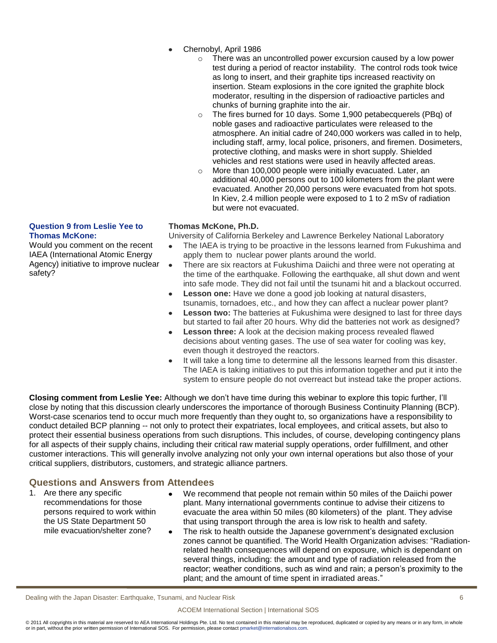- Chernobyl, April 1986
	- There was an uncontrolled power excursion caused by a low power test during a period of reactor instability. The control rods took twice as long to insert, and their graphite tips increased reactivity on insertion. Steam explosions in the core ignited the graphite block moderator, resulting in the dispersion of radioactive particles and chunks of burning graphite into the air.
	- o The fires burned for 10 days. Some 1,900 petabecquerels (PBq) of noble gases and radioactive particulates were released to the atmosphere. An initial cadre of 240,000 workers was called in to help, including staff, army, local police, prisoners, and firemen. Dosimeters, protective clothing, and masks were in short supply. Shielded vehicles and rest stations were used in heavily affected areas.
	- o More than 100,000 people were initially evacuated. Later, an additional 40,000 persons out to 100 kilometers from the plant were evacuated. Another 20,000 persons were evacuated from hot spots. In Kiev, 2.4 million people were exposed to 1 to 2 mSv of radiation but were not evacuated.

#### **Question 9 from Leslie Yee to Thomas McKone:**

Would you comment on the recent IAEA (International Atomic Energy Agency) initiative to improve nuclear safety?

## **Thomas McKone, Ph.D.**

University of California Berkeley and Lawrence Berkeley National Laboratory

- The IAEA is trying to be proactive in the lessons learned from Fukushima and  $\bullet$ apply them to nuclear power plants around the world.
- There are six reactors at Fukushima Daiichi and three were not operating at the time of the earthquake. Following the earthquake, all shut down and went into safe mode. They did not fail until the tsunami hit and a blackout occurred.
- **Lesson one:** Have we done a good job looking at natural disasters,  $\bullet$ tsunamis, tornadoes, etc., and how they can affect a nuclear power plant?
- **Lesson two:** The batteries at Fukushima were designed to last for three days  $\bullet$ but started to fail after 20 hours. Why did the batteries not work as designed?
- **Lesson three:** A look at the decision making process revealed flawed decisions about venting gases. The use of sea water for cooling was key, even though it destroyed the reactors.
- It will take a long time to determine all the lessons learned from this disaster.  $\bullet$ The IAEA is taking initiatives to put this information together and put it into the system to ensure people do not overreact but instead take the proper actions.

**Closing comment from Leslie Yee:** Although we don't have time during this webinar to explore this topic further, I'll close by noting that this discussion clearly underscores the importance of thorough Business Continuity Planning (BCP). Worst-case scenarios tend to occur much more frequently than they ought to, so organizations have a responsibility to conduct detailed BCP planning -- not only to protect their expatriates, local employees, and critical assets, but also to protect their essential business operations from such disruptions. This includes, of course, developing contingency plans for all aspects of their supply chains, including their critical raw material supply operations, order fulfillment, and other customer interactions. This will generally involve analyzing not only your own internal operations but also those of your critical suppliers, distributors, customers, and strategic alliance partners.

## **Questions and Answers from Attendees**

- 1. Are there any specific recommendations for those persons required to work within the US State Department 50 mile evacuation/shelter zone?
- We recommend that people not remain within 50 miles of the Daiichi power  $\bullet$ plant. Many international governments continue to advise their citizens to evacuate the area within 50 miles (80 kilometers) of the plant. They advise that using transport through the area is low risk to health and safety.
- $\bullet$ The risk to health outside the Japanese government's designated exclusion zones cannot be quantified. The World Health Organization advises: "Radiationrelated health consequences will depend on exposure, which is dependant on several things, including: the amount and type of radiation released from the reactor; weather conditions, such as wind and rain; a person's proximity to the plant; and the amount of time spent in irradiated areas."

Dealing with the Japan Disaster: Earthquake, Tsunami, and Nuclear Risk 6

#### ACOEM International Section | International SOS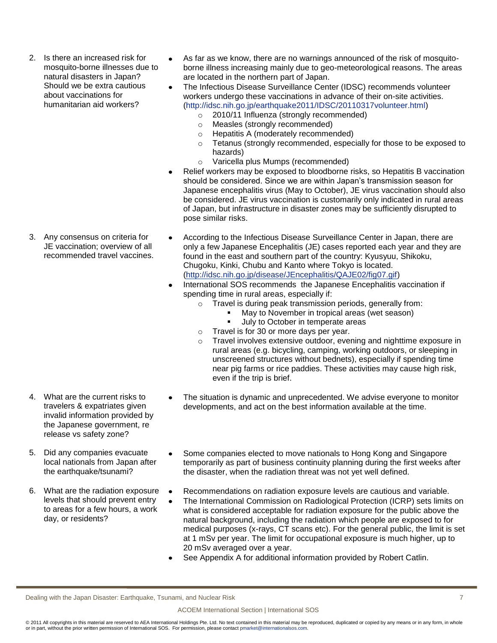2. Is there an increased risk for mosquito-borne illnesses due to natural disasters in Japan? Should we be extra cautious about vaccinations for humanitarian aid workers?

3. Any consensus on criteria for JE vaccination; overview of all recommended travel vaccines.

- 4. What are the current risks to travelers & expatriates given invalid information provided by the Japanese government, re release vs safety zone?
- 5. Did any companies evacuate local nationals from Japan after the earthquake/tsunami?
- 6. What are the radiation exposure levels that should prevent entry to areas for a few hours, a work day, or residents?
- As far as we know, there are no warnings announced of the risk of mosquito- $\bullet$ borne illness increasing mainly due to geo-meteorological reasons. The areas are located in the northern part of Japan.
- The Infectious Disease Surveillance Center (IDSC) recommends volunteer  $\bullet$ workers undergo these vaccinations in advance of their on-site activities. [\(http://idsc.nih.go.jp/earthquake2011/IDSC/20110317volunteer.html\)](http://idsc.nih.go.jp/earthquake2011/IDSC/20110317volunteer.html)
	- o 2010/11 Influenza (strongly recommended)
	- o Measles (strongly recommended)
	- o Hepatitis A (moderately recommended)
	- o Tetanus (strongly recommended, especially for those to be exposed to hazards)
	- o Varicella plus Mumps (recommended)
- Relief workers may be exposed to bloodborne risks, so Hepatitis B vaccination should be considered. Since we are within Japan's transmission season for Japanese encephalitis virus (May to October), JE virus vaccination should also be considered. JE virus vaccination is customarily only indicated in rural areas of Japan, but infrastructure in disaster zones may be sufficiently disrupted to pose similar risks.
- $\bullet$ According to the Infectious Disease Surveillance Center in Japan, there are only a few Japanese Encephalitis (JE) cases reported each year and they are found in the east and southern part of the country: Kyusyuu, Shikoku, Chugoku, Kinki, Chubu and Kanto where Tokyo is located. [\(http://idsc.nih.go.jp/disease/JEncephalitis/QAJE02/fig07.gif\)](http://idsc.nih.go.jp/disease/JEncephalitis/QAJE02/fig07.gif)
- International SOS recommends the Japanese Encephalitis vaccination if  $\bullet$ spending time in rural areas, especially if:
	- o Travel is during peak transmission periods, generally from:
		- May to November in tropical areas (wet season)
		- **July to October in temperate areas**
	- o Travel is for 30 or more days per year.
	- $\circ$  Travel involves extensive outdoor, evening and nighttime exposure in rural areas (e.g. bicycling, camping, working outdoors, or sleeping in unscreened structures without bednets), especially if spending time near pig farms or rice paddies. These activities may cause high risk, even if the trip is brief.
- The situation is dynamic and unprecedented. We advise everyone to monitor  $\bullet$ developments, and act on the best information available at the time.
- Some companies elected to move nationals to Hong Kong and Singapore  $\bullet$ temporarily as part of business continuity planning during the first weeks after the disaster, when the radiation threat was not yet well defined.
- Recommendations on radiation exposure levels are cautious and variable.
- The International Commission on Radiological Protection (ICRP) sets limits on  $\bullet$ what is considered acceptable for radiation exposure for the public above the natural background, including the radiation which people are exposed to for medical purposes (x-rays, CT scans etc). For the general public, the limit is set at 1 mSv per year. The limit for occupational exposure is much higher, up to 20 mSv averaged over a year.
- See Appendix A for additional information provided by Robert Catlin.

Dealing with the Japan Disaster: Earthquake, Tsunami, and Nuclear Risk 7

#### ACOEM International Section | International SOS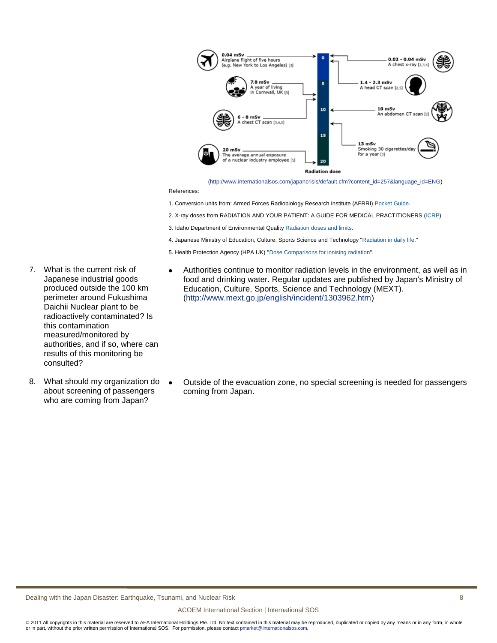

[\(http://www.internationalsos.com/japancrisis/default.cfm?content\\_id=257&language\\_id=ENG\)](http://www.internationalsos.com/japancrisis/default.cfm?content_id=257&language_id=ENG)

References:

 $\bullet$ 

- 1. Conversion units from: Armed Forces Radiobiology Research Institute (AFRRI) [Pocket Guide.](http://www.afrri.usuhs.mil/outreach/pdf/AFRRI-Pocket-Guide.pdf)
- 2. X-ray doses from RADIATION AND YOUR PATIENT: A GUIDE FOR MEDICAL PRACTITIONERS [\(ICRP\)](http://www.icrp.org/docs/Rad_for_GP_for_web.pdf)
- 3. Idaho Department of Environmental Quality [Radiation doses and limits.](http://www.deq.idaho.gov/inl_oversight/radiation/radiation_guide.cfm)
- 4. Japanese Ministry of Education, Culture, Sports Science and Technology ["Radiation in daily life."](http://www.mext.go.jp/english/topics/__icsFiles/afieldfile/2011/03/18/1303717_01_1.pdf)
- 5. Health Protection Agency (HPA UK) ["Dose Comparisons for ionising radiation"](http://www.hpa.org.uk/Topics/Radiation/UnderstandingRadiation/UnderstandingRadiationTopics/DoseComparisonsForIonisingRadiation/).
- 7. What is the current risk of  $\bullet$ Japanese industrial goods produced outside the 100 km perimeter around Fukushima Daichii Nuclear plant to be radioactively contaminated? Is this contamination measured/monitored by authorities, and if so, where can results of this monitoring be consulted?
- 8. What should my organization do about screening of passengers who are coming from Japan?

Authorities continue to monitor radiation levels in the environment, as well as in food and drinking water. Regular updates are published by Japan's Ministry of Education, Culture, Sports, Science and Technology (MEXT). [\(http://www.mext.go.jp/english/incident/1303962.htm\)](http://www.mext.go.jp/english/incident/1303962.htm)

Outside of the evacuation zone, no special screening is needed for passengers coming from Japan.

Dealing with the Japan Disaster: Earthquake, Tsunami, and Nuclear Risk 8 (1998) 8 (1999) 8 (1999) 8 (1999) 8 (1999) 8 (1999) 8 (1999) 8 (1999) 8 (1999) 8 (1999) 8 (1999) 8 (1999) 8 (1999) 8 (1999) 8 (1999) 8 (1999) 8 (1999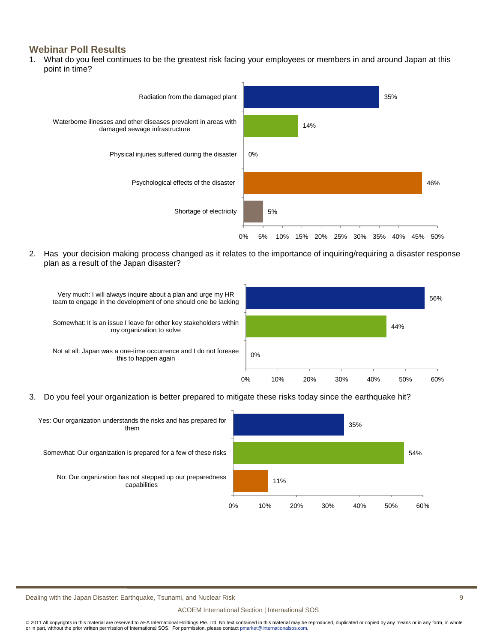## **Webinar Poll Results**

1. What do you feel continues to be the greatest risk facing your employees or members in and around Japan at this point in time?



2. Has your decision making process changed as it relates to the importance of inquiring/requiring a disaster response plan as a result of the Japan disaster?



3. Do you feel your organization is better prepared to mitigate these risks today since the earthquake hit?



Dealing with the Japan Disaster: Earthquake, Tsunami, and Nuclear Risk 9

#### ACOEM International Section | International SOS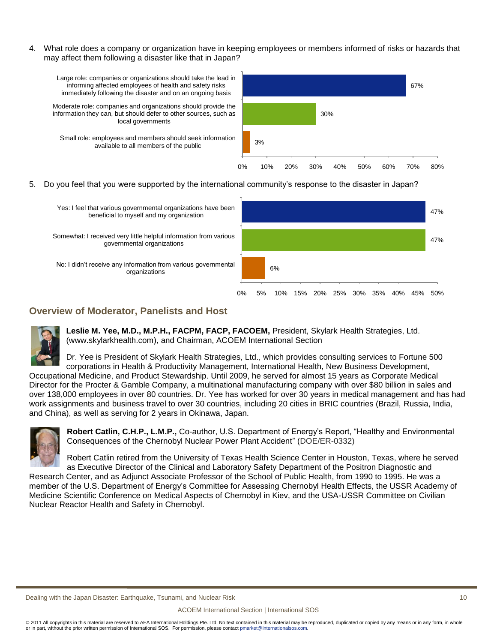4. What role does a company or organization have in keeping employees or members informed of risks or hazards that may affect them following a disaster like that in Japan?



5. Do you feel that you were supported by the international community's response to the disaster in Japan?



## **Overview of Moderator, Panelists and Host**



**Leslie M. Yee, M.D., M.P.H., FACPM, FACP, FACOEM,** President, Skylark Health Strategies, Ltd. (www.skylarkhealth.com), and Chairman, ACOEM International Section

Dr. Yee is President of Skylark Health Strategies, Ltd., which provides consulting services to Fortune 500 corporations in Health & Productivity Management, International Health, New Business Development, Occupational Medicine, and Product Stewardship. Until 2009, he served for almost 15 years as Corporate Medical Director for the Procter & Gamble Company, a multinational manufacturing company with over \$80 billion in sales and over 138,000 employees in over 80 countries. Dr. Yee has worked for over 30 years in medical management and has had work assignments and business travel to over 30 countries, including 20 cities in BRIC countries (Brazil, Russia, India,



**Robert Catlin, C.H.P., L.M.P.,** Co-author, U.S. Department of Energy's Report, "Healthy and Environmental Consequences of the Chernobyl Nuclear Power Plant Accident" (DOE/ER-0332)

Robert Catlin retired from the University of Texas Health Science Center in Houston, Texas, where he served as Executive Director of the Clinical and Laboratory Safety Department of the Positron Diagnostic and Research Center, and as Adjunct Associate Professor of the School of Public Health, from 1990 to 1995. He was a member of the U.S. Department of Energy's Committee for Assessing Chernobyl Health Effects, the USSR Academy of Medicine Scientific Conference on Medical Aspects of Chernobyl in Kiev, and the USA-USSR Committee on Civilian

Nuclear Reactor Health and Safety in Chernobyl.

and China), as well as serving for 2 years in Okinawa, Japan.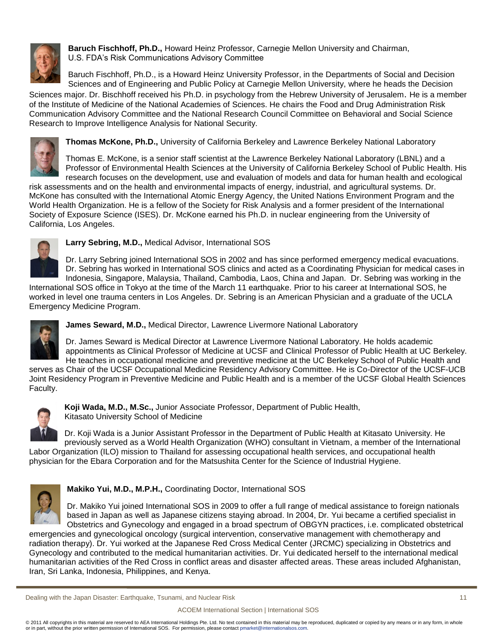

**Baruch Fischhoff, Ph.D.,** Howard Heinz Professor, Carnegie Mellon University and Chairman, U.S. FDA's Risk Communications Advisory Committee

Baruch Fischhoff, Ph.D., is a Howard Heinz University Professor, in the Departments of Social and Decision Sciences and of Engineering and Public Policy at Carnegie Mellon University, where he heads the Decision

Sciences major. Dr. Bischhoff received his Ph.D. in psychology from the Hebrew University of Jerusalem. He is a member of the Institute of Medicine of the National Academies of Sciences. He chairs the Food and Drug Administration Risk Communication Advisory Committee and the National Research Council Committee on Behavioral and Social Science Research to Improve Intelligence Analysis for National Security.



**Thomas McKone, Ph.D.,** University of California Berkeley and Lawrence Berkeley National Laboratory

Thomas E. McKone, is a senior staff scientist at the Lawrence Berkeley National Laboratory (LBNL) and a Professor of Environmental Health Sciences at the University of California Berkeley School of Public Health. His research focuses on the development, use and evaluation of models and data for human health and ecological

risk assessments and on the health and environmental impacts of energy, industrial, and agricultural systems. Dr. McKone has consulted with the International Atomic Energy Agency, the United Nations Environment Program and the World Health Organization. He is a fellow of the Society for Risk Analysis and a former president of the International Society of Exposure Science (ISES). Dr. McKone earned his Ph.D. in nuclear engineering from the University of California, Los Angeles.



**Larry Sebring, M.D.,** Medical Advisor, International SOS

Dr. Larry Sebring joined International SOS in 2002 and has since performed emergency medical evacuations. Dr. Sebring has worked in International SOS clinics and acted as a Coordinating Physician for medical cases in Indonesia, Singapore, Malaysia, Thailand, Cambodia, Laos, China and Japan. Dr. Sebring was working in the

International SOS office in Tokyo at the time of the March 11 earthquake. Prior to his career at International SOS, he worked in level one trauma centers in Los Angeles. Dr. Sebring is an American Physician and a graduate of the UCLA Emergency Medicine Program.



**James Seward, M.D.,** Medical Director, Lawrence Livermore National Laboratory

Dr. James Seward is Medical Director at Lawrence Livermore National Laboratory. He holds academic appointments as Clinical Professor of Medicine at UCSF and Clinical Professor of Public Health at UC Berkeley. He teaches in occupational medicine and preventive medicine at the UC Berkeley School of Public Health and

serves as Chair of the UCSF Occupational Medicine Residency Advisory Committee. He is Co-Director of the UCSF-UCB Joint Residency Program in Preventive Medicine and Public Health and is a member of the UCSF Global Health Sciences Faculty.



**Koji Wada, M.D., M.Sc.,** Junior Associate Professor, Department of Public Health, Kitasato University School of Medicine

Dr. Koji Wada is a Junior Assistant Professor in the Department of Public Health at Kitasato University. He previously served as a World Health Organization (WHO) consultant in Vietnam, a member of the International Labor Organization (ILO) mission to Thailand for assessing occupational health services, and occupational health physician for the Ebara Corporation and for the Matsushita Center for the Science of Industrial Hygiene.



## **Makiko Yui, M.D., M.P.H.,** Coordinating Doctor, International SOS

Dr. Makiko Yui joined International SOS in 2009 to offer a full range of medical assistance to foreign nationals based in Japan as well as Japanese citizens staying abroad. In 2004, Dr. Yui became a certified specialist in Obstetrics and Gynecology and engaged in a broad spectrum of OBGYN practices, i.e. complicated obstetrical

emergencies and gynecological oncology (surgical intervention, conservative management with chemotherapy and radiation therapy). Dr. Yui worked at the Japanese Red Cross Medical Center (JRCMC) specializing in Obstetrics and Gynecology and contributed to the medical humanitarian activities. Dr. Yui dedicated herself to the international medical humanitarian activities of the Red Cross in conflict areas and disaster affected areas. These areas included Afghanistan, Iran, Sri Lanka, Indonesia, Philippines, and Kenya.

Dealing with the Japan Disaster: Earthquake, Tsunami, and Nuclear Risk 11 and 12 and 12 and 12 and 11 and 11 and 11 and 11 and 11 and 11 and 11 and 12 and 12 and 12 and 12 and 12 and 12 and 12 and 12 and 12 and 12 and 12 a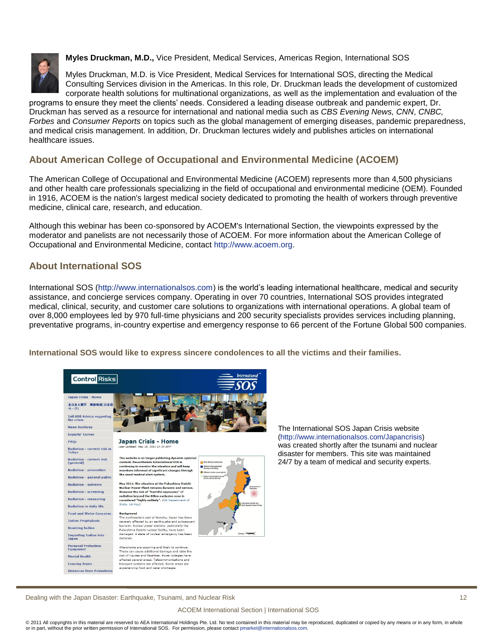

**Myles Druckman, M.D.,** Vice President, Medical Services, Americas Region, International SOS

Myles Druckman, M.D. is Vice President, Medical Services for International SOS, directing the Medical Consulting Services division in the Americas. In this role, Dr. Druckman leads the development of customized corporate health solutions for multinational organizations, as well as the implementation and evaluation of the

programs to ensure they meet the clients' needs. Considered a leading disease outbreak and pandemic expert, Dr. Druckman has served as a resource for international and national media such as *CBS Evening News, CNN*, *CNBC, Forbes* and *Consumer Reports* on topics such as the global management of emerging diseases, pandemic preparedness, and medical crisis management. In addition, Dr. Druckman lectures widely and publishes articles on international healthcare issues.

## **About American College of Occupational and Environmental Medicine (ACOEM)**

The American College of Occupational and Environmental Medicine (ACOEM) represents more than 4,500 physicians and other health care professionals specializing in the field of occupational and environmental medicine (OEM). Founded in 1916, ACOEM is the nation's largest medical society dedicated to promoting the health of workers through preventive medicine, clinical care, research, and education.

Although this webinar has been co-sponsored by ACOEM's International Section, the viewpoints expressed by the moderator and panelists are not necessarily those of ACOEM. For more information about the American College of Occupational and Environmental Medicine, contact [http://www.acoem.org.](http://www.acoem.org/)

## **About International SOS**

International SOS [\(http://www.internationalsos.com\)](http://www.internationalsos.com/) is the world's leading international healthcare, medical and security assistance, and concierge services company. Operating in over 70 countries, International SOS provides integrated medical, clinical, security, and customer care solutions to organizations with international operations. A global team of over 8,000 employees led by 970 full-time physicians and 200 security specialists provides services including planning, preventative programs, in-country expertise and emergency response to 66 percent of the Fortune Global 500 companies.

**International SOS would like to express sincere condolences to all the victims and their families.**



The International SOS Japan Crisis website [\(http://www.internationalsos.com/Japancrisis\)](http://www.internationalsos.com/Japancrisis) was created shortly after the tsunami and nuclear disaster for members. This site was maintained 24/7 by a team of medical and security experts.

Dealing with the Japan Disaster: Earthquake, Tsunami, and Nuclear Risk 12

#### ACOEM International Section | International SOS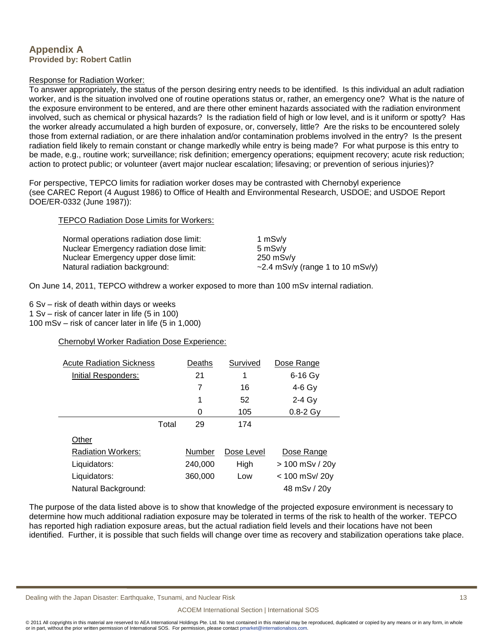## **Appendix A Provided by: Robert Catlin**

### Response for Radiation Worker:

To answer appropriately, the status of the person desiring entry needs to be identified. Is this individual an adult radiation worker, and is the situation involved one of routine operations status or, rather, an emergency one? What is the nature of the exposure environment to be entered, and are there other eminent hazards associated with the radiation environment involved, such as chemical or physical hazards? Is the radiation field of high or low level, and is it uniform or spotty? Has the worker already accumulated a high burden of exposure, or, conversely, little? Are the risks to be encountered solely those from external radiation, or are there inhalation and/or contamination problems involved in the entry? Is the present radiation field likely to remain constant or change markedly while entry is being made? For what purpose is this entry to be made, e.g., routine work; surveillance; risk definition; emergency operations; equipment recovery; acute risk reduction; action to protect public; or volunteer (avert major nuclear escalation; lifesaving; or prevention of serious injuries)?

For perspective, TEPCO limits for radiation worker doses may be contrasted with Chernobyl experience (see CAREC Report (4 August 1986) to Office of Health and Environmental Research, USDOE; and USDOE Report DOE/ER-0332 (June 1987)):

#### TEPCO Radiation Dose Limits for Workers:

| Normal operations radiation dose limit: | 1 $msv/v$                              |
|-----------------------------------------|----------------------------------------|
| Nuclear Emergency radiation dose limit: | 5 mSv/v                                |
| Nuclear Emergency upper dose limit:     | 250 mSv/v                              |
| Natural radiation background:           | $\sim$ 2.4 mSv/y (range 1 to 10 mSv/y) |

On June 14, 2011, TEPCO withdrew a worker exposed to more than 100 mSv internal radiation.

6 Sv – risk of death within days or weeks 1 Sv – risk of cancer later in life (5 in 100)

100 mSv – risk of cancer later in life (5 in 1,000)

## Chernobyl Worker Radiation Dose Experience:

| <b>Acute Radiation Sickness</b> |       | Deaths  | Survived   | Dose Range       |
|---------------------------------|-------|---------|------------|------------------|
| Initial Responders:             |       | 21      | 1          | $6-16$ Gy        |
|                                 |       | 7       | 16         | $4-6$ Gy         |
|                                 |       | 1       | 52         | $2-4$ Gy         |
|                                 |       | 0       | 105        | $0.8 - 2$ Gy     |
|                                 | Total | 29      | 174        |                  |
| Other                           |       |         |            |                  |
| <b>Radiation Workers:</b>       |       | Number  | Dose Level | Dose Range       |
| Liquidators:                    |       | 240,000 | High       | > 100 mSv / 20y  |
| Liquidators:                    |       | 360,000 | Low        | $< 100$ mSv/ 20y |
| Natural Background:             |       |         |            | 48 mSv / 20y     |

The purpose of the data listed above is to show that knowledge of the projected exposure environment is necessary to determine how much additional radiation exposure may be tolerated in terms of the risk to health of the worker. TEPCO has reported high radiation exposure areas, but the actual radiation field levels and their locations have not been identified. Further, it is possible that such fields will change over time as recovery and stabilization operations take place.

Dealing with the Japan Disaster: Earthquake, Tsunami, and Nuclear Risk 13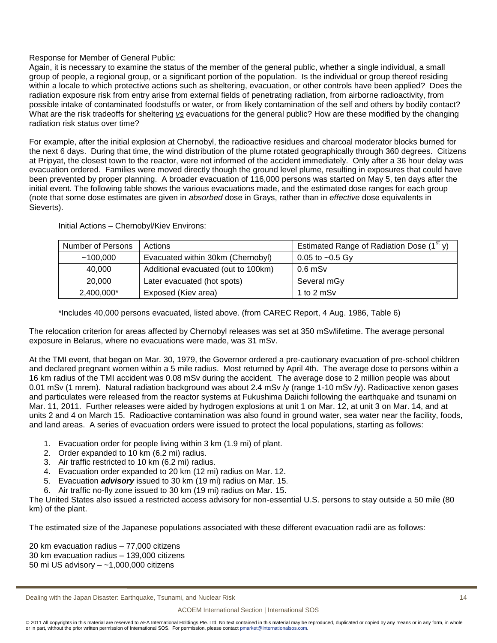## Response for Member of General Public:

Again, it is necessary to examine the status of the member of the general public, whether a single individual, a small group of people, a regional group, or a significant portion of the population. Is the individual or group thereof residing within a locale to which protective actions such as sheltering, evacuation, or other controls have been applied? Does the radiation exposure risk from entry arise from external fields of penetrating radiation, from airborne radioactivity, from possible intake of contaminated foodstuffs or water, or from likely contamination of the self and others by bodily contact? What are the risk tradeoffs for sheltering *vs* evacuations for the general public? How are these modified by the changing radiation risk status over time?

For example, after the initial explosion at Chernobyl, the radioactive residues and charcoal moderator blocks burned for the next 6 days. During that time, the wind distribution of the plume rotated geographically through 360 degrees. Citizens at Pripyat, the closest town to the reactor, were not informed of the accident immediately. Only after a 36 hour delay was evacuation ordered. Families were moved directly though the ground level plume, resulting in exposures that could have been prevented by proper planning. A broader evacuation of 116,000 persons was started on May 5, ten days after the initial event. The following table shows the various evacuations made, and the estimated dose ranges for each group (note that some dose estimates are given in *absorbed* dose in Grays, rather than in *effective* dose equivalents in Sieverts).

| <b>Number of Persons</b> | Actions                             | Estimated Range of Radiation Dose $(1st y)$ |
|--------------------------|-------------------------------------|---------------------------------------------|
| ~100.000                 | Evacuated within 30km (Chernobyl)   | 0.05 to $\sim$ 0.5 Gy                       |
| 40,000                   | Additional evacuated (out to 100km) | $0.6$ mSv                                   |
| 20,000                   | Later evacuated (hot spots)         | Several mGy                                 |
| 2,400,000*               | Exposed (Kiev area)                 | 1 to 2 mSv                                  |

#### Initial Actions – Chernobyl/Kiev Environs:

\*Includes 40,000 persons evacuated, listed above. (from CAREC Report, 4 Aug. 1986, Table 6)

The relocation criterion for areas affected by Chernobyl releases was set at 350 mSv/lifetime. The average personal exposure in Belarus, where no evacuations were made, was 31 mSv.

At the TMI event, that began on Mar. 30, 1979, the Governor ordered a pre-cautionary evacuation of pre-school children and declared pregnant women within a 5 mile radius. Most returned by April 4th. The average dose to persons within a 16 km radius of the TMI accident was 0.08 mSv during the accident. The average dose to 2 million people was about 0.01 mSv (1 mrem). Natural radiation background was about 2.4 mSv /y (range 1-10 mSv /y). Radioactive xenon gases and particulates were released from the reactor systems at Fukushima Daiichi following the earthquake and tsunami on Mar. 11, 2011. Further releases were aided by hydrogen explosions at unit 1 on Mar. 12, at unit 3 on Mar. 14, and at units 2 and 4 on March 15. Radioactive contamination was also found in ground water, sea water near the facility, foods, and land areas. A series of evacuation orders were issued to protect the local populations, starting as follows:

- 1. Evacuation order for people living within 3 km (1.9 mi) of plant.
- 2. Order expanded to 10 km (6.2 mi) radius.
- 3. Air traffic restricted to 10 km (6.2 mi) radius.
- 4. Evacuation order expanded to 20 km (12 mi) radius on Mar. 12.
- 5. Evacuation *advisory* issued to 30 km (19 mi) radius on Mar. 15.
- 6. Air traffic no-fly zone issued to 30 km (19 mi) radius on Mar. 15.

The United States also issued a restricted access advisory for non-essential U.S. persons to stay outside a 50 mile (80 km) of the plant.

The estimated size of the Japanese populations associated with these different evacuation radii are as follows:

20 km evacuation radius – 77,000 citizens 30 km evacuation radius – 139,000 citizens 50 mi US advisory – ~1,000,000 citizens

#### ACOEM International Section | International SOS